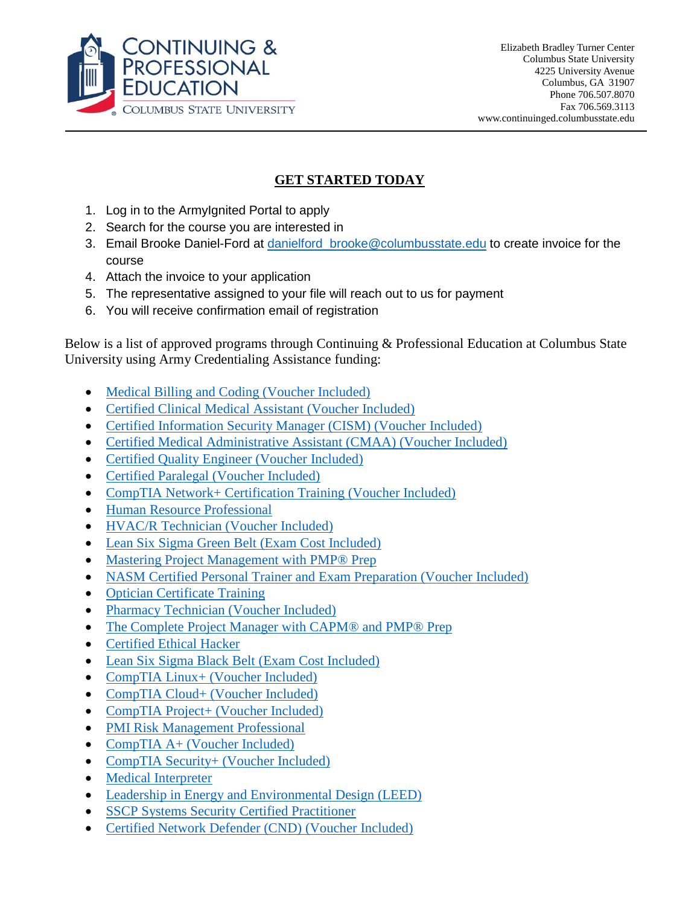

## **GET STARTED TODAY**

- 1. Log in to the ArmyIgnited Portal to apply
- 2. Search for the course you are interested in
- 3. Email Brooke Daniel-Ford at danielford brooke@columbusstate.edu to create invoice for the course
- 4. Attach the invoice to your application
- 5. The representative assigned to your file will reach out to us for payment
- 6. You will receive confirmation email of registration

Below is a list of approved programs through Continuing & Professional Education at Columbus State University using Army Credentialing Assistance funding:

- [Medical Billing and Coding \(Voucher Included\)](https://careertraining.ed2go.com/colstate/training-programs/medical-billing-coding-voucher-included/)
- [Certified Clinical Medical Assistant \(Voucher Included\)](https://careertraining.ed2go.com/colstate/training-programs/certified_clinical_medical_assistant/)
- [Certified Information Security Manager \(CISM\) \(Voucher Included\)](https://careertraining.ed2go.com/colstate/training-programs/cism-online-training/)
- [Certified Medical Administrative Assistant \(CMAA\) \(Voucher Included\)](https://careertraining.ed2go.com/colstate/training-programs/certified-medical-administrative-assistant/)
- [Certified Quality Engineer \(Voucher Included\)](https://careertraining.ed2go.com/colstate/training-programs/certified-quality-engineer/)
- [Certified Paralegal \(Voucher Included\)](https://careertraining.ed2go.com/colstate/training-programs/certified-paralegal-voucher-included/)
- [CompTIA Network+ Certification Training \(Voucher Included\)](https://careertraining.ed2go.com/colstate/training-programs/network-plus-certification-with-exam/)
- [Human Resource Professional](https://careertraining.ed2go.com/colstate/training-programs/human-resources-professional-course-online/)
- [HVAC/R Technician \(Voucher Included\)](https://careertraining.ed2go.com/colstate/training-programs/hvacr-technician/)
- [Lean Six Sigma Green Belt \(Exam Cost Included\)](https://careertraining.ed2go.com/colstate/training-programs/lean-six-sigma-green-belt/)
- Mastering Project Management with PMP<sup>®</sup> Prep
- [NASM Certified Personal Trainer and Exam Preparation \(Voucher Included\)](https://careertraining.ed2go.com/colstate/training-programs/nasm-cpt/)
- [Optician Certificate Training](https://careertraining.ed2go.com/colstate/training-programs/optician-certification-training-course-online/)
- [Pharmacy Technician \(Voucher Included\)](https://careertraining.ed2go.com/colstate/training-programs/pharmacy-technician/)
- [The Complete Project Manager with CAPM® and PMP® Prep](https://careertraining.ed2go.com/colstate/training-programs/project-manager-capm-pmp-prep/)
- [Certified Ethical Hacker](https://careertraining.ed2go.com/colstate/training-programs/ceh-certification/)
- [Lean Six Sigma Black Belt](https://careertraining.ed2go.com/colstate/training-programs/lean-six-sigma-black-belt/) (Exam Cost Included)
- CompTIA Linux+ [\(Voucher Included\)](https://careertraining.ed2go.com/colstate/training-programs/linux-plus-certification-with-exam/)
- CompTIA Cloud+ [\(Voucher Included\)](https://careertraining.ed2go.com/colstate/training-programs/comptia-cloud-training-with-exam/)
- CompTIA Project+ [\(Voucher Included\)](https://careertraining.ed2go.com/colstate/training-programs/project-plus-certification-with-exam/)
- [PMI Risk Management Professional](https://careertraining.ed2go.com/colstate/training-programs/risk-management-online-training/)
- CompTIA A+ [\(Voucher Included\)](https://careertraining.ed2go.com/colstate/training-programs/a-plus-certification-with-exam/)
- [CompTIA Security+](https://careertraining.ed2go.com/colstate/training-programs/security-plus-certification-with-exam/) (Voucher Included)
- [Medical Interpreter](https://careertraining.ed2go.com/colstate/training-programs/medical-interpreter/)
- [Leadership in Energy and Environmental Design \(LEED\)](https://careertraining.ed2go.com/colstate/training-programs/leed-program/)
- [SSCP Systems Security Certified Practitioner](https://careertraining.ed2go.com/colstate/training-programs/systems-security-practitioner/)
- [Certified Network Defender \(CND\) \(Voucher Included\)](https://careertraining.ed2go.com/colstate/training-programs/certified-network-defender-voucher-included/)